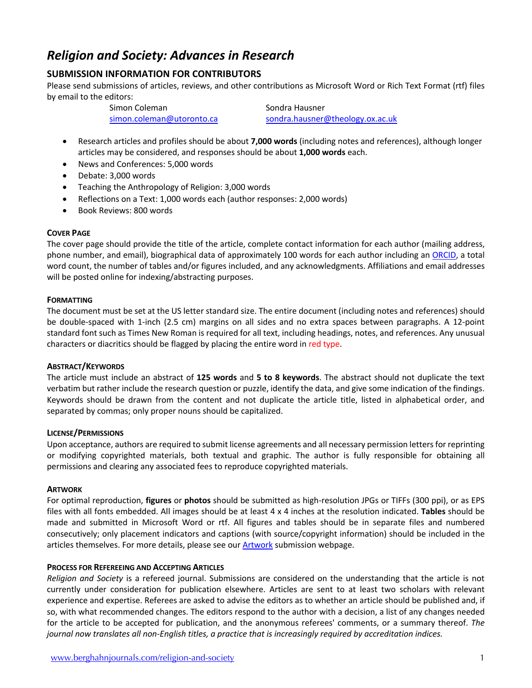# *Religion and Society: Advances in Research*

# **SUBMISSION INFORMATION FOR CONTRIBUTORS**

Please send submissions of articles, reviews, and other contributions as Microsoft Word or Rich Text Format (rtf) files by email to the editors:

Simon Coleman Simon Coleman Sondra Hausner

simon.coleman@utoronto.ca sondra.hausner@theology.ox.ac.uk

- Research articles and profiles should be about **7,000 words** (including notes and references), although longer articles may be considered, and responses should be about **1,000 words** each.
- News and Conferences: 5,000 words
- Debate: 3,000 words
- Teaching the Anthropology of Religion: 3,000 words
- Reflections on a Text: 1,000 words each (author responses: 2,000 words)
- Book Reviews: 800 words

# **COVER PAGE**

The cover page should provide the title of the article, complete contact information for each author (mailing address, phone number, and email), biographical data of approximately 100 words for each author including an ORCID, a total word count, the number of tables and/or figures included, and any acknowledgments. Affiliations and email addresses will be posted online for indexing/abstracting purposes.

# **FORMATTING**

The document must be set at the US letter standard size. The entire document (including notes and references) should be double-spaced with 1-inch (2.5 cm) margins on all sides and no extra spaces between paragraphs. A 12-point standard font such as Times New Roman is required for all text, including headings, notes, and references. Any unusual characters or diacritics should be flagged by placing the entire word in red type.

## **ABSTRACT/KEYWORDS**

The article must include an abstract of **125 words** and **5 to 8 keywords**. The abstract should not duplicate the text verbatim but rather include the research question or puzzle, identify the data, and give some indication of the findings. Keywords should be drawn from the content and not duplicate the article title, listed in alphabetical order, and separated by commas; only proper nouns should be capitalized.

## **LICENSE/PERMISSIONS**

Upon acceptance, authors are required to submit license agreements and all necessary permission letters for reprinting or modifying copyrighted materials, both textual and graphic. The author is fully responsible for obtaining all permissions and clearing any associated fees to reproduce copyrighted materials.

## **ARTWORK**

For optimal reproduction, **figures** or **photos** should be submitted as high-resolution JPGs or TIFFs (300 ppi), or as EPS files with all fonts embedded. All images should be at least 4 x 4 inches at the resolution indicated. **Tables** should be made and submitted in Microsoft Word or rtf. All figures and tables should be in separate files and numbered consecutively; only placement indicators and captions (with source/copyright information) should be included in the articles themselves. For more details, please see our **Artwork** submission webpage.

## **PROCESS FOR REFEREEING AND ACCEPTING ARTICLES**

*Religion and Society* is a refereed journal. Submissions are considered on the understanding that the article is not currently under consideration for publication elsewhere. Articles are sent to at least two scholars with relevant experience and expertise. Referees are asked to advise the editors as to whether an article should be published and, if so, with what recommended changes. The editors respond to the author with a decision, a list of any changes needed for the article to be accepted for publication, and the anonymous referees' comments, or a summary thereof. *The journal now translates all non-English titles, a practice that is increasingly required by accreditation indices.*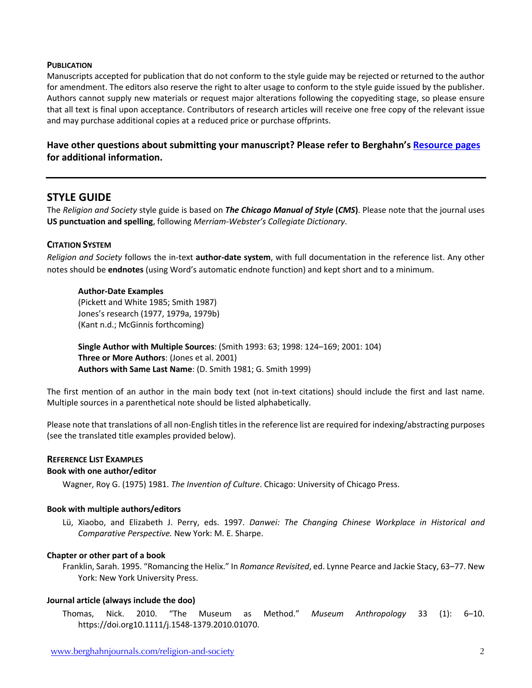## **PUBLICATION**

Manuscripts accepted for publication that do not conform to the style guide may be rejected or returned to the author for amendment. The editors also reserve the right to alter usage to conform to the style guide issued by the publisher. Authors cannot supply new materials or request major alterations following the copyediting stage, so please ensure that all text is final upon acceptance. Contributors of research articles will receive one free copy of the relevant issue and may purchase additional copies at a reduced price or purchase offprints.

# **Have other questions about submitting your manuscript? Please refer to Berghahn's Resource pages for additional information.**

# **STYLE GUIDE**

The *Religion and Society* style guide is based on *The Chicago Manual of Style* **(***CMS***)**. Please note that the journal uses **US punctuation and spelling**, following *Merriam-Webster's Collegiate Dictionary*.

# **CITATION SYSTEM**

*Religion and Society* follows the in-text **author-date system**, with full documentation in the reference list. Any other notes should be **endnotes** (using Word's automatic endnote function) and kept short and to a minimum.

## **Author-Date Examples**

(Pickett and White 1985; Smith 1987) Jones's research (1977, 1979a, 1979b) (Kant n.d.; McGinnis forthcoming)

**Single Author with Multiple Sources**: (Smith 1993: 63; 1998: 124–169; 2001: 104) **Three or More Authors**: (Jones et al. 2001) **Authors with Same Last Name**: (D. Smith 1981; G. Smith 1999)

The first mention of an author in the main body text (not in-text citations) should include the first and last name. Multiple sources in a parenthetical note should be listed alphabetically.

Please note that translations of all non-English titles in the reference list are required for indexing/abstracting purposes (see the translated title examples provided below).

# **REFERENCE LIST EXAMPLES**

## **Book with one author/editor**

Wagner, Roy G. (1975) 1981. *The Invention of Culture*. Chicago: University of Chicago Press.

## **Book with multiple authors/editors**

Lü, Xiaobo, and Elizabeth J. Perry, eds. 1997. *Danwei: The Changing Chinese Workplace in Historical and Comparative Perspective.* New York: M. E. Sharpe.

## **Chapter or other part of a book**

Franklin, Sarah. 1995. "Romancing the Helix." In *Romance Revisited*, ed. Lynne Pearce and Jackie Stacy, 63–77. New York: New York University Press.

## **Journal article (always include the doo)**

Thomas, Nick. 2010. "The Museum as Method." *Museum Anthropology* 33 (1): 6–10. https://doi.org10.1111/j.1548-1379.2010.01070.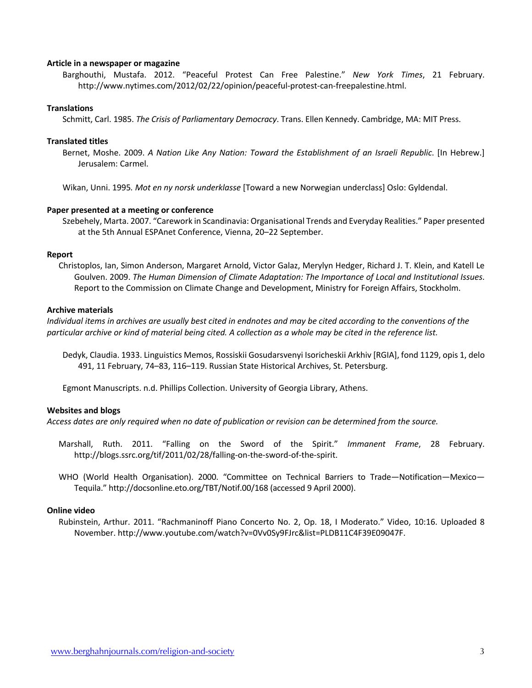#### **Article in a newspaper or magazine**

Barghouthi, Mustafa. 2012. "Peaceful Protest Can Free Palestine." *New York Times*, 21 February. http://www.nytimes.com/2012/02/22/opinion/peaceful-protest-can-freepalestine.html.

#### **Translations**

Schmitt, Carl. 1985. *The Crisis of Parliamentary Democracy*. Trans. Ellen Kennedy. Cambridge, MA: MIT Press.

#### **Translated titles**

Bernet, Moshe. 2009. *A Nation Like Any Nation: Toward the Establishment of an Israeli Republic*. [In Hebrew.] Jerusalem: Carmel.

Wikan, Unni. 1995*. Mot en ny norsk underklasse* [Toward a new Norwegian underclass] Oslo: Gyldendal.

#### **Paper presented at a meeting or conference**

Szebehely, Marta. 2007. "Carework in Scandinavia: Organisational Trends and Everyday Realities." Paper presented at the 5th Annual ESPAnet Conference, Vienna, 20–22 September.

#### **Report**

Christoplos, Ian, Simon Anderson, Margaret Arnold, Victor Galaz, Merylyn Hedger, Richard J. T. Klein, and Katell Le Goulven. 2009. *The Human Dimension of Climate Adaptation: The Importance of Local and Institutional Issues*. Report to the Commission on Climate Change and Development, Ministry for Foreign Affairs, Stockholm.

#### **Archive materials**

*Individual items in archives are usually best cited in endnotes and may be cited according to the conventions of the particular archive or kind of material being cited. A collection as a whole may be cited in the reference list.*

Dedyk, Claudia. 1933. Linguistics Memos, Rossiskii Gosudarsvenyi Isoricheskii Arkhiv [RGIA], fond 1129, opis 1, delo 491, 11 February, 74–83, 116–119. Russian State Historical Archives, St. Petersburg.

Egmont Manuscripts. n.d. Phillips Collection. University of Georgia Library, Athens.

## **Websites and blogs**

*Access dates are only required when no date of publication or revision can be determined from the source.*

- Marshall, Ruth. 2011. "Falling on the Sword of the Spirit." *Immanent Frame*, 28 February. http://blogs.ssrc.org/tif/2011/02/28/falling-on-the-sword-of-the-spirit.
- WHO (World Health Organisation). 2000. "Committee on Technical Barriers to Trade—Notification—Mexico— Tequila." http://docsonline.eto.org/TBT/Notif.00/168 (accessed 9 April 2000).

#### **Online video**

Rubinstein, Arthur. 2011. "Rachmaninoff Piano Concerto No. 2, Op. 18, I Moderato." Video, 10:16. Uploaded 8 November. http://www.youtube.com/watch?v=0Vv0Sy9FJrc&list=PLDB11C4F39E09047F.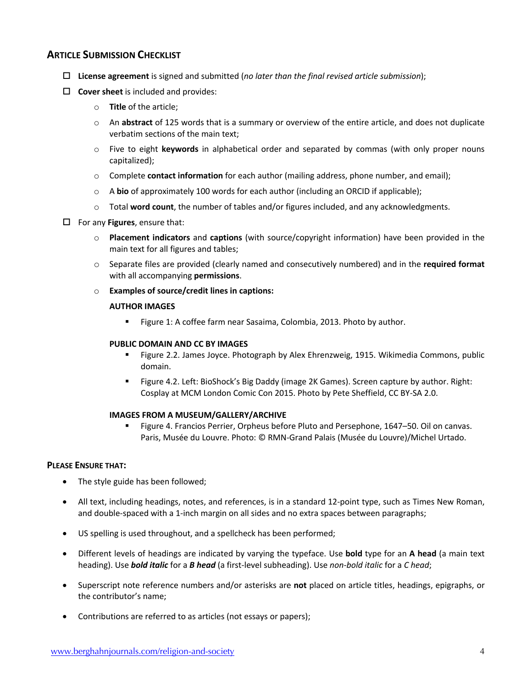# **ARTICLE SUBMISSION CHECKLIST**

- o **License agreement** is signed and submitted (*no later than the final revised article submission*);
- $\Box$  **Cover sheet** is included and provides:
	- o **Title** of the article;
	- o An **abstract** of 125 words that is a summary or overview of the entire article, and does not duplicate verbatim sections of the main text;
	- o Five to eight **keywords** in alphabetical order and separated by commas (with only proper nouns capitalized);
	- o Complete **contact information** for each author (mailing address, phone number, and email);
	- o A **bio** of approximately 100 words for each author (including an ORCID if applicable);
	- o Total **word count**, the number of tables and/or figures included, and any acknowledgments.
- $\Box$  For any **Figures**, ensure that:
	- o **Placement indicators** and **captions** (with source/copyright information) have been provided in the main text for all figures and tables;
	- o Separate files are provided (clearly named and consecutively numbered) and in the **required format** with all accompanying **permissions**.
	- o **Examples of source/credit lines in captions:**

#### **AUTHOR IMAGES**

■ Figure 1: A coffee farm near Sasaima, Colombia, 2013. Photo by author.

#### **PUBLIC DOMAIN AND CC BY IMAGES**

- § Figure 2.2. James Joyce. Photograph by Alex Ehrenzweig, 1915. Wikimedia Commons, public domain.
- § Figure 4.2. Left: BioShock's Big Daddy (image 2K Games). Screen capture by author. Right: Cosplay at MCM London Comic Con 2015. Photo by Pete Sheffield, CC BY-SA 2.0.

#### **IMAGES FROM A MUSEUM/GALLERY/ARCHIVE**

■ Figure 4. Francios Perrier, Orpheus before Pluto and Persephone, 1647–50. Oil on canvas. Paris, Musée du Louvre. Photo: © RMN-Grand Palais (Musée du Louvre)/Michel Urtado.

# **PLEASE ENSURE THAT:**

- The style guide has been followed;
- All text, including headings, notes, and references, is in a standard 12-point type, such as Times New Roman, and double-spaced with a 1-inch margin on all sides and no extra spaces between paragraphs;
- US spelling is used throughout, and a spellcheck has been performed;
- Different levels of headings are indicated by varying the typeface. Use **bold** type for an **A head** (a main text heading). Use *bold italic* for a *B head* (a first-level subheading). Use *non-bold italic* for a *C head*;
- Superscript note reference numbers and/or asterisks are **not** placed on article titles, headings, epigraphs, or the contributor's name;
- Contributions are referred to as articles (not essays or papers);